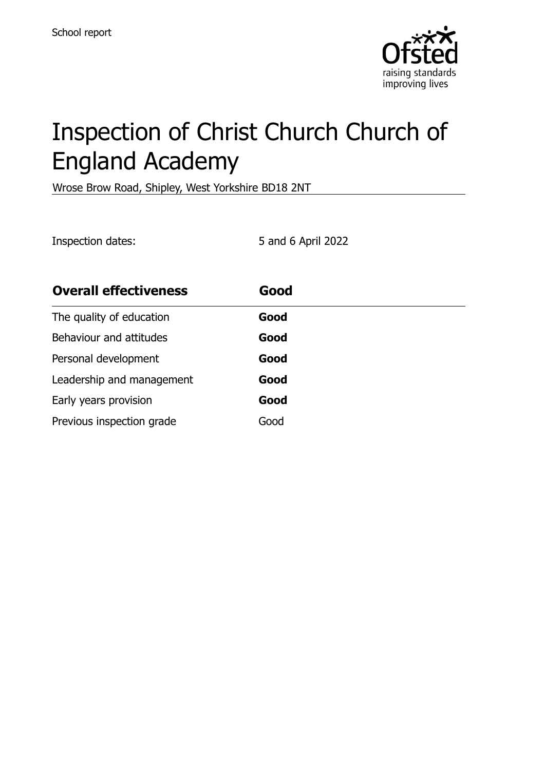

# Inspection of Christ Church Church of England Academy

Wrose Brow Road, Shipley, West Yorkshire BD18 2NT

Inspection dates: 5 and 6 April 2022

| <b>Overall effectiveness</b> | Good |  |
|------------------------------|------|--|
| The quality of education     | Good |  |
| Behaviour and attitudes      | Good |  |
| Personal development         | Good |  |
| Leadership and management    | Good |  |
| Early years provision        | Good |  |
| Previous inspection grade    | Good |  |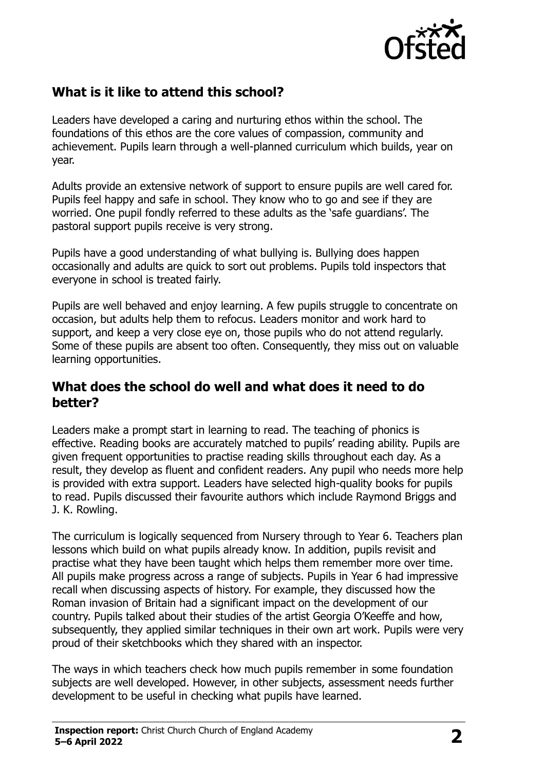

# **What is it like to attend this school?**

Leaders have developed a caring and nurturing ethos within the school. The foundations of this ethos are the core values of compassion, community and achievement. Pupils learn through a well-planned curriculum which builds, year on year.

Adults provide an extensive network of support to ensure pupils are well cared for. Pupils feel happy and safe in school. They know who to go and see if they are worried. One pupil fondly referred to these adults as the 'safe guardians'. The pastoral support pupils receive is very strong.

Pupils have a good understanding of what bullying is. Bullying does happen occasionally and adults are quick to sort out problems. Pupils told inspectors that everyone in school is treated fairly.

Pupils are well behaved and enjoy learning. A few pupils struggle to concentrate on occasion, but adults help them to refocus. Leaders monitor and work hard to support, and keep a very close eye on, those pupils who do not attend regularly. Some of these pupils are absent too often. Consequently, they miss out on valuable learning opportunities.

#### **What does the school do well and what does it need to do better?**

Leaders make a prompt start in learning to read. The teaching of phonics is effective. Reading books are accurately matched to pupils' reading ability. Pupils are given frequent opportunities to practise reading skills throughout each day. As a result, they develop as fluent and confident readers. Any pupil who needs more help is provided with extra support. Leaders have selected high-quality books for pupils to read. Pupils discussed their favourite authors which include Raymond Briggs and J. K. Rowling.

The curriculum is logically sequenced from Nursery through to Year 6. Teachers plan lessons which build on what pupils already know. In addition, pupils revisit and practise what they have been taught which helps them remember more over time. All pupils make progress across a range of subjects. Pupils in Year 6 had impressive recall when discussing aspects of history. For example, they discussed how the Roman invasion of Britain had a significant impact on the development of our country. Pupils talked about their studies of the artist Georgia O'Keeffe and how, subsequently, they applied similar techniques in their own art work. Pupils were very proud of their sketchbooks which they shared with an inspector.

The ways in which teachers check how much pupils remember in some foundation subjects are well developed. However, in other subjects, assessment needs further development to be useful in checking what pupils have learned.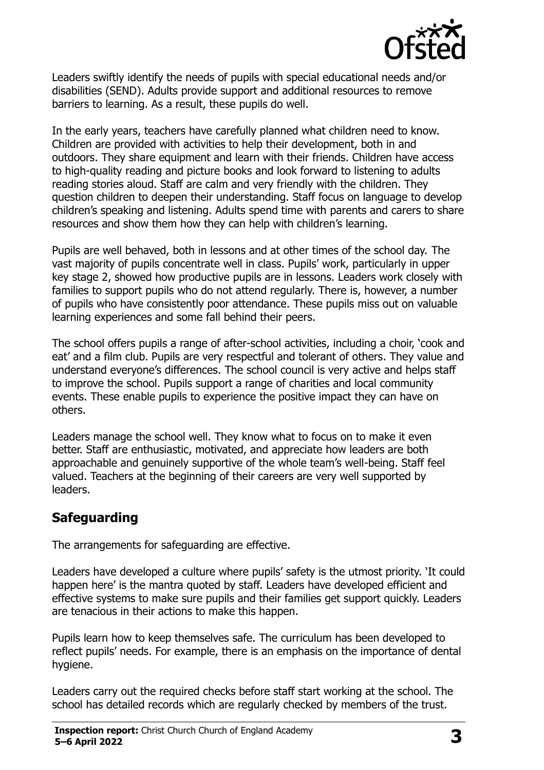

Leaders swiftly identify the needs of pupils with special educational needs and/or disabilities (SEND). Adults provide support and additional resources to remove barriers to learning. As a result, these pupils do well.

In the early years, teachers have carefully planned what children need to know. Children are provided with activities to help their development, both in and outdoors. They share equipment and learn with their friends. Children have access to high-quality reading and picture books and look forward to listening to adults reading stories aloud. Staff are calm and very friendly with the children. They question children to deepen their understanding. Staff focus on language to develop children's speaking and listening. Adults spend time with parents and carers to share resources and show them how they can help with children's learning.

Pupils are well behaved, both in lessons and at other times of the school day. The vast majority of pupils concentrate well in class. Pupils' work, particularly in upper key stage 2, showed how productive pupils are in lessons. Leaders work closely with families to support pupils who do not attend regularly. There is, however, a number of pupils who have consistently poor attendance. These pupils miss out on valuable learning experiences and some fall behind their peers.

The school offers pupils a range of after-school activities, including a choir, 'cook and eat' and a film club. Pupils are very respectful and tolerant of others. They value and understand everyone's differences. The school council is very active and helps staff to improve the school. Pupils support a range of charities and local community events. These enable pupils to experience the positive impact they can have on others.

Leaders manage the school well. They know what to focus on to make it even better. Staff are enthusiastic, motivated, and appreciate how leaders are both approachable and genuinely supportive of the whole team's well-being. Staff feel valued. Teachers at the beginning of their careers are very well supported by leaders.

# **Safeguarding**

The arrangements for safeguarding are effective.

Leaders have developed a culture where pupils' safety is the utmost priority. 'It could happen here' is the mantra quoted by staff. Leaders have developed efficient and effective systems to make sure pupils and their families get support quickly. Leaders are tenacious in their actions to make this happen.

Pupils learn how to keep themselves safe. The curriculum has been developed to reflect pupils' needs. For example, there is an emphasis on the importance of dental hygiene.

Leaders carry out the required checks before staff start working at the school. The school has detailed records which are regularly checked by members of the trust.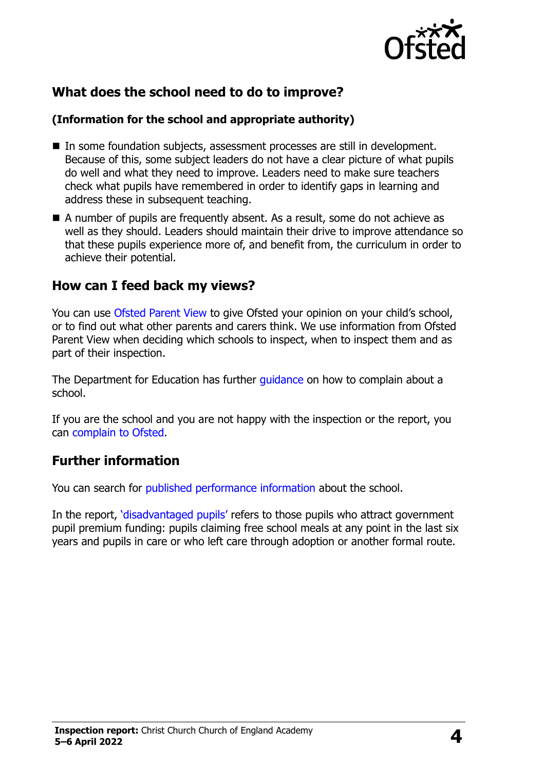

# **What does the school need to do to improve?**

#### **(Information for the school and appropriate authority)**

- In some foundation subjects, assessment processes are still in development. Because of this, some subject leaders do not have a clear picture of what pupils do well and what they need to improve. Leaders need to make sure teachers check what pupils have remembered in order to identify gaps in learning and address these in subsequent teaching.
- A number of pupils are frequently absent. As a result, some do not achieve as well as they should. Leaders should maintain their drive to improve attendance so that these pupils experience more of, and benefit from, the curriculum in order to achieve their potential.

### **How can I feed back my views?**

You can use [Ofsted Parent View](http://parentview.ofsted.gov.uk/) to give Ofsted your opinion on your child's school, or to find out what other parents and carers think. We use information from Ofsted Parent View when deciding which schools to inspect, when to inspect them and as part of their inspection.

The Department for Education has further quidance on how to complain about a school.

If you are the school and you are not happy with the inspection or the report, you can [complain to Ofsted.](http://www.gov.uk/complain-ofsted-report)

### **Further information**

You can search for [published performance information](http://www.compare-school-performance.service.gov.uk/) about the school.

In the report, '[disadvantaged pupils](http://www.gov.uk/guidance/pupil-premium-information-for-schools-and-alternative-provision-settings)' refers to those pupils who attract government pupil premium funding: pupils claiming free school meals at any point in the last six years and pupils in care or who left care through adoption or another formal route.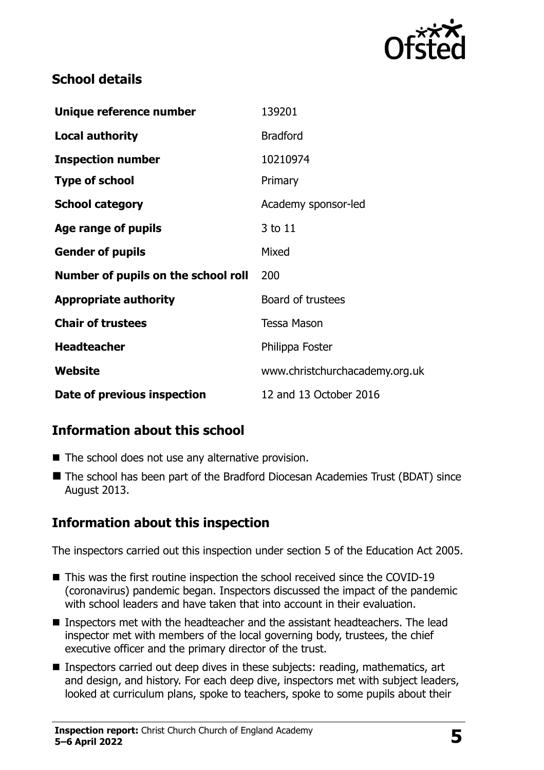

## **School details**

| Unique reference number             | 139201                         |
|-------------------------------------|--------------------------------|
| <b>Local authority</b>              | <b>Bradford</b>                |
| <b>Inspection number</b>            | 10210974                       |
| <b>Type of school</b>               | Primary                        |
| <b>School category</b>              | Academy sponsor-led            |
| Age range of pupils                 | 3 to 11                        |
| <b>Gender of pupils</b>             | Mixed                          |
| Number of pupils on the school roll | 200                            |
| <b>Appropriate authority</b>        | Board of trustees              |
| <b>Chair of trustees</b>            | <b>Tessa Mason</b>             |
| <b>Headteacher</b>                  | Philippa Foster                |
| Website                             | www.christchurchacademy.org.uk |
| Date of previous inspection         | 12 and 13 October 2016         |

# **Information about this school**

- The school does not use any alternative provision.
- The school has been part of the Bradford Diocesan Academies Trust (BDAT) since August 2013.

# **Information about this inspection**

The inspectors carried out this inspection under section 5 of the Education Act 2005.

- This was the first routine inspection the school received since the COVID-19 (coronavirus) pandemic began. Inspectors discussed the impact of the pandemic with school leaders and have taken that into account in their evaluation.
- Inspectors met with the headteacher and the assistant headteachers. The lead inspector met with members of the local governing body, trustees, the chief executive officer and the primary director of the trust.
- Inspectors carried out deep dives in these subjects: reading, mathematics, art and design, and history. For each deep dive, inspectors met with subject leaders, looked at curriculum plans, spoke to teachers, spoke to some pupils about their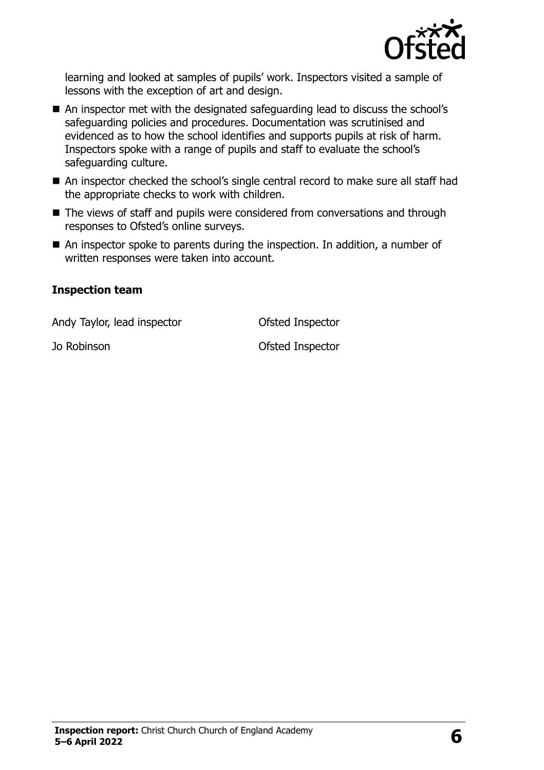

learning and looked at samples of pupils' work. Inspectors visited a sample of lessons with the exception of art and design.

- An inspector met with the designated safeguarding lead to discuss the school's safeguarding policies and procedures. Documentation was scrutinised and evidenced as to how the school identifies and supports pupils at risk of harm. Inspectors spoke with a range of pupils and staff to evaluate the school's safeguarding culture.
- An inspector checked the school's single central record to make sure all staff had the appropriate checks to work with children.
- The views of staff and pupils were considered from conversations and through responses to Ofsted's online surveys.
- An inspector spoke to parents during the inspection. In addition, a number of written responses were taken into account.

#### **Inspection team**

Andy Taylor, lead inspector **Conservation Conservation** Ofsted Inspector

Jo Robinson Ofsted Inspector